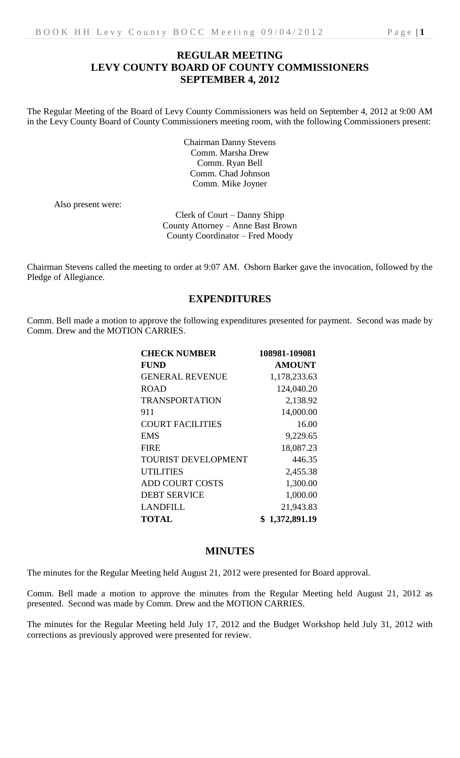# **REGULAR MEETING LEVY COUNTY BOARD OF COUNTY COMMISSIONERS SEPTEMBER 4, 2012**

The Regular Meeting of the Board of Levy County Commissioners was held on September 4, 2012 at 9:00 AM in the Levy County Board of County Commissioners meeting room, with the following Commissioners present:

> Chairman Danny Stevens Comm. Marsha Drew Comm. Ryan Bell Comm. Chad Johnson Comm. Mike Joyner

Also present were:

Clerk of Court – Danny Shipp County Attorney – Anne Bast Brown County Coordinator – Fred Moody

Chairman Stevens called the meeting to order at 9:07 AM. Osborn Barker gave the invocation, followed by the Pledge of Allegiance.

## **EXPENDITURES**

Comm. Bell made a motion to approve the following expenditures presented for payment. Second was made by Comm. Drew and the MOTION CARRIES.

| <b>CHECK NUMBER</b>        | 108981-109081 |
|----------------------------|---------------|
| <b>FUND</b>                | <b>AMOUNT</b> |
| <b>GENERAL REVENUE</b>     | 1,178,233.63  |
| <b>ROAD</b>                | 124,040.20    |
| <b>TRANSPORTATION</b>      | 2,138.92      |
| 911                        | 14,000.00     |
| <b>COURT FACILITIES</b>    | 16.00         |
| EMS                        | 9,229.65      |
| <b>FIRE</b>                | 18,087.23     |
| <b>TOURIST DEVELOPMENT</b> | 446.35        |
| <b>UTILITIES</b>           | 2,455.38      |
| <b>ADD COURT COSTS</b>     | 1,300.00      |
| <b>DEBT SERVICE</b>        | 1,000.00      |
| LANDFILL                   | 21,943.83     |
| <b>TOTAL</b>               | 1,372,891.19  |

### **MINUTES**

The minutes for the Regular Meeting held August 21, 2012 were presented for Board approval.

Comm. Bell made a motion to approve the minutes from the Regular Meeting held August 21, 2012 as presented. Second was made by Comm. Drew and the MOTION CARRIES.

The minutes for the Regular Meeting held July 17, 2012 and the Budget Workshop held July 31, 2012 with corrections as previously approved were presented for review.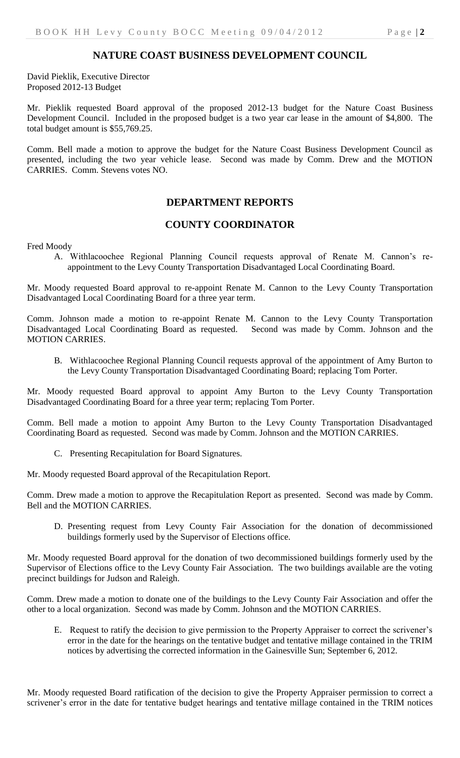David Pieklik, Executive Director Proposed 2012-13 Budget

Mr. Pieklik requested Board approval of the proposed 2012-13 budget for the Nature Coast Business Development Council. Included in the proposed budget is a two year car lease in the amount of \$4,800. The total budget amount is \$55,769.25.

Comm. Bell made a motion to approve the budget for the Nature Coast Business Development Council as presented, including the two year vehicle lease. Second was made by Comm. Drew and the MOTION CARRIES. Comm. Stevens votes NO.

# **DEPARTMENT REPORTS**

### **COUNTY COORDINATOR**

Fred Moody

A. Withlacoochee Regional Planning Council requests approval of Renate M. Cannon's reappointment to the Levy County Transportation Disadvantaged Local Coordinating Board.

Mr. Moody requested Board approval to re-appoint Renate M. Cannon to the Levy County Transportation Disadvantaged Local Coordinating Board for a three year term.

Comm. Johnson made a motion to re-appoint Renate M. Cannon to the Levy County Transportation Disadvantaged Local Coordinating Board as requested. Second was made by Comm. Johnson and the MOTION CARRIES.

B. Withlacoochee Regional Planning Council requests approval of the appointment of Amy Burton to the Levy County Transportation Disadvantaged Coordinating Board; replacing Tom Porter.

Mr. Moody requested Board approval to appoint Amy Burton to the Levy County Transportation Disadvantaged Coordinating Board for a three year term; replacing Tom Porter.

Comm. Bell made a motion to appoint Amy Burton to the Levy County Transportation Disadvantaged Coordinating Board as requested. Second was made by Comm. Johnson and the MOTION CARRIES.

C. Presenting Recapitulation for Board Signatures.

Mr. Moody requested Board approval of the Recapitulation Report.

Comm. Drew made a motion to approve the Recapitulation Report as presented. Second was made by Comm. Bell and the MOTION CARRIES.

D. Presenting request from Levy County Fair Association for the donation of decommissioned buildings formerly used by the Supervisor of Elections office.

Mr. Moody requested Board approval for the donation of two decommissioned buildings formerly used by the Supervisor of Elections office to the Levy County Fair Association. The two buildings available are the voting precinct buildings for Judson and Raleigh.

Comm. Drew made a motion to donate one of the buildings to the Levy County Fair Association and offer the other to a local organization. Second was made by Comm. Johnson and the MOTION CARRIES.

E. Request to ratify the decision to give permission to the Property Appraiser to correct the scrivener's error in the date for the hearings on the tentative budget and tentative millage contained in the TRIM notices by advertising the corrected information in the Gainesville Sun; September 6, 2012.

Mr. Moody requested Board ratification of the decision to give the Property Appraiser permission to correct a scrivener's error in the date for tentative budget hearings and tentative millage contained in the TRIM notices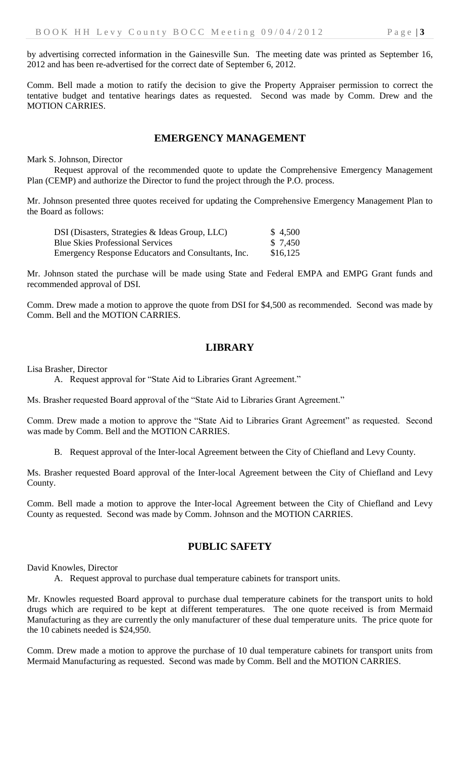by advertising corrected information in the Gainesville Sun. The meeting date was printed as September 16, 2012 and has been re-advertised for the correct date of September 6, 2012.

Comm. Bell made a motion to ratify the decision to give the Property Appraiser permission to correct the tentative budget and tentative hearings dates as requested. Second was made by Comm. Drew and the MOTION CARRIES.

## **EMERGENCY MANAGEMENT**

Mark S. Johnson, Director

Request approval of the recommended quote to update the Comprehensive Emergency Management Plan (CEMP) and authorize the Director to fund the project through the P.O. process.

Mr. Johnson presented three quotes received for updating the Comprehensive Emergency Management Plan to the Board as follows:

| DSI (Disasters, Strategies & Ideas Group, LLC)     | \$4,500  |
|----------------------------------------------------|----------|
| <b>Blue Skies Professional Services</b>            | \$ 7.450 |
| Emergency Response Educators and Consultants, Inc. | \$16,125 |

Mr. Johnson stated the purchase will be made using State and Federal EMPA and EMPG Grant funds and recommended approval of DSI.

Comm. Drew made a motion to approve the quote from DSI for \$4,500 as recommended. Second was made by Comm. Bell and the MOTION CARRIES.

## **LIBRARY**

Lisa Brasher, Director

A. Request approval for "State Aid to Libraries Grant Agreement."

Ms. Brasher requested Board approval of the "State Aid to Libraries Grant Agreement."

Comm. Drew made a motion to approve the "State Aid to Libraries Grant Agreement" as requested. Second was made by Comm. Bell and the MOTION CARRIES.

B. Request approval of the Inter-local Agreement between the City of Chiefland and Levy County.

Ms. Brasher requested Board approval of the Inter-local Agreement between the City of Chiefland and Levy County.

Comm. Bell made a motion to approve the Inter-local Agreement between the City of Chiefland and Levy County as requested. Second was made by Comm. Johnson and the MOTION CARRIES.

#### **PUBLIC SAFETY**

David Knowles, Director

A. Request approval to purchase dual temperature cabinets for transport units.

Mr. Knowles requested Board approval to purchase dual temperature cabinets for the transport units to hold drugs which are required to be kept at different temperatures. The one quote received is from Mermaid Manufacturing as they are currently the only manufacturer of these dual temperature units. The price quote for the 10 cabinets needed is \$24,950.

Comm. Drew made a motion to approve the purchase of 10 dual temperature cabinets for transport units from Mermaid Manufacturing as requested. Second was made by Comm. Bell and the MOTION CARRIES.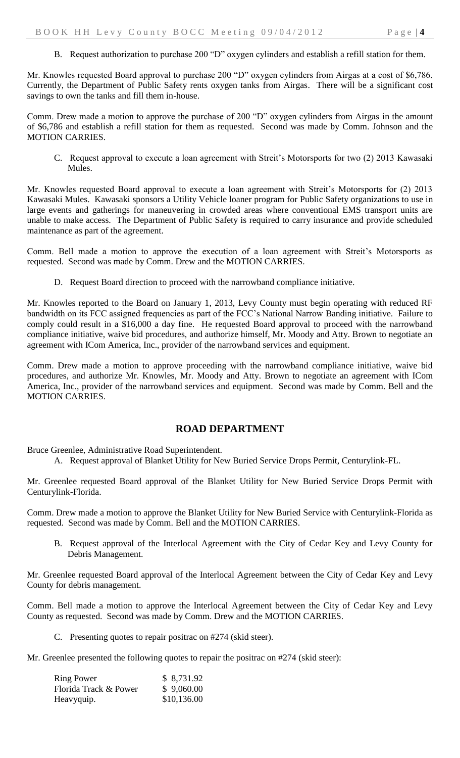B. Request authorization to purchase 200 "D" oxygen cylinders and establish a refill station for them.

Mr. Knowles requested Board approval to purchase 200 "D" oxygen cylinders from Airgas at a cost of \$6,786. Currently, the Department of Public Safety rents oxygen tanks from Airgas. There will be a significant cost savings to own the tanks and fill them in-house.

Comm. Drew made a motion to approve the purchase of 200 "D" oxygen cylinders from Airgas in the amount of \$6,786 and establish a refill station for them as requested. Second was made by Comm. Johnson and the MOTION CARRIES.

C. Request approval to execute a loan agreement with Streit's Motorsports for two (2) 2013 Kawasaki Mules.

Mr. Knowles requested Board approval to execute a loan agreement with Streit's Motorsports for (2) 2013 Kawasaki Mules. Kawasaki sponsors a Utility Vehicle loaner program for Public Safety organizations to use in large events and gatherings for maneuvering in crowded areas where conventional EMS transport units are unable to make access. The Department of Public Safety is required to carry insurance and provide scheduled maintenance as part of the agreement.

Comm. Bell made a motion to approve the execution of a loan agreement with Streit's Motorsports as requested. Second was made by Comm. Drew and the MOTION CARRIES.

D. Request Board direction to proceed with the narrowband compliance initiative.

Mr. Knowles reported to the Board on January 1, 2013, Levy County must begin operating with reduced RF bandwidth on its FCC assigned frequencies as part of the FCC's National Narrow Banding initiative. Failure to comply could result in a \$16,000 a day fine. He requested Board approval to proceed with the narrowband compliance initiative, waive bid procedures, and authorize himself, Mr. Moody and Atty. Brown to negotiate an agreement with ICom America, Inc., provider of the narrowband services and equipment.

Comm. Drew made a motion to approve proceeding with the narrowband compliance initiative, waive bid procedures, and authorize Mr. Knowles, Mr. Moody and Atty. Brown to negotiate an agreement with ICom America, Inc., provider of the narrowband services and equipment. Second was made by Comm. Bell and the MOTION CARRIES.

### **ROAD DEPARTMENT**

Bruce Greenlee, Administrative Road Superintendent.

A. Request approval of Blanket Utility for New Buried Service Drops Permit, Centurylink-FL.

Mr. Greenlee requested Board approval of the Blanket Utility for New Buried Service Drops Permit with Centurylink-Florida.

Comm. Drew made a motion to approve the Blanket Utility for New Buried Service with Centurylink-Florida as requested. Second was made by Comm. Bell and the MOTION CARRIES.

B. Request approval of the Interlocal Agreement with the City of Cedar Key and Levy County for Debris Management.

Mr. Greenlee requested Board approval of the Interlocal Agreement between the City of Cedar Key and Levy County for debris management.

Comm. Bell made a motion to approve the Interlocal Agreement between the City of Cedar Key and Levy County as requested. Second was made by Comm. Drew and the MOTION CARRIES.

C. Presenting quotes to repair positrac on #274 (skid steer).

Mr. Greenlee presented the following quotes to repair the positrac on #274 (skid steer):

| <b>Ring Power</b>     | \$8,731.92  |
|-----------------------|-------------|
| Florida Track & Power | \$9,060.00  |
| Heavyquip.            | \$10,136.00 |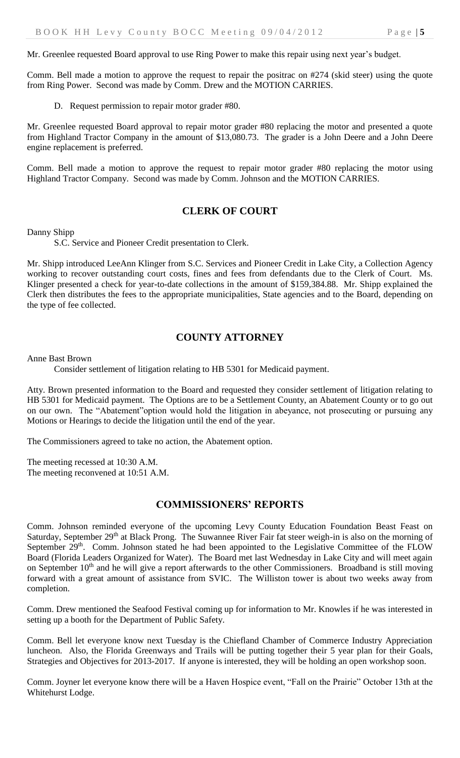Mr. Greenlee requested Board approval to use Ring Power to make this repair using next year's budget.

Comm. Bell made a motion to approve the request to repair the positrac on #274 (skid steer) using the quote from Ring Power. Second was made by Comm. Drew and the MOTION CARRIES.

D. Request permission to repair motor grader #80.

Mr. Greenlee requested Board approval to repair motor grader #80 replacing the motor and presented a quote from Highland Tractor Company in the amount of \$13,080.73. The grader is a John Deere and a John Deere engine replacement is preferred.

Comm. Bell made a motion to approve the request to repair motor grader #80 replacing the motor using Highland Tractor Company. Second was made by Comm. Johnson and the MOTION CARRIES.

### **CLERK OF COURT**

Danny Shipp

S.C. Service and Pioneer Credit presentation to Clerk.

Mr. Shipp introduced LeeAnn Klinger from S.C. Services and Pioneer Credit in Lake City, a Collection Agency working to recover outstanding court costs, fines and fees from defendants due to the Clerk of Court. Ms. Klinger presented a check for year-to-date collections in the amount of \$159,384.88. Mr. Shipp explained the Clerk then distributes the fees to the appropriate municipalities, State agencies and to the Board, depending on the type of fee collected.

#### **COUNTY ATTORNEY**

Anne Bast Brown

Consider settlement of litigation relating to HB 5301 for Medicaid payment.

Atty. Brown presented information to the Board and requested they consider settlement of litigation relating to HB 5301 for Medicaid payment. The Options are to be a Settlement County, an Abatement County or to go out on our own. The "Abatement"option would hold the litigation in abeyance, not prosecuting or pursuing any Motions or Hearings to decide the litigation until the end of the year.

The Commissioners agreed to take no action, the Abatement option.

The meeting recessed at 10:30 A.M. The meeting reconvened at 10:51 A.M.

#### **COMMISSIONERS' REPORTS**

Comm. Johnson reminded everyone of the upcoming Levy County Education Foundation Beast Feast on Saturday, September 29<sup>th</sup> at Black Prong. The Suwannee River Fair fat steer weigh-in is also on the morning of September 29<sup>th</sup>. Comm. Johnson stated he had been appointed to the Legislative Committee of the FLOW Board (Florida Leaders Organized for Water). The Board met last Wednesday in Lake City and will meet again on September  $10<sup>th</sup>$  and he will give a report afterwards to the other Commissioners. Broadband is still moving forward with a great amount of assistance from SVIC. The Williston tower is about two weeks away from completion.

Comm. Drew mentioned the Seafood Festival coming up for information to Mr. Knowles if he was interested in setting up a booth for the Department of Public Safety.

Comm. Bell let everyone know next Tuesday is the Chiefland Chamber of Commerce Industry Appreciation luncheon. Also, the Florida Greenways and Trails will be putting together their 5 year plan for their Goals, Strategies and Objectives for 2013-2017. If anyone is interested, they will be holding an open workshop soon.

Comm. Joyner let everyone know there will be a Haven Hospice event, "Fall on the Prairie" October 13th at the Whitehurst Lodge.